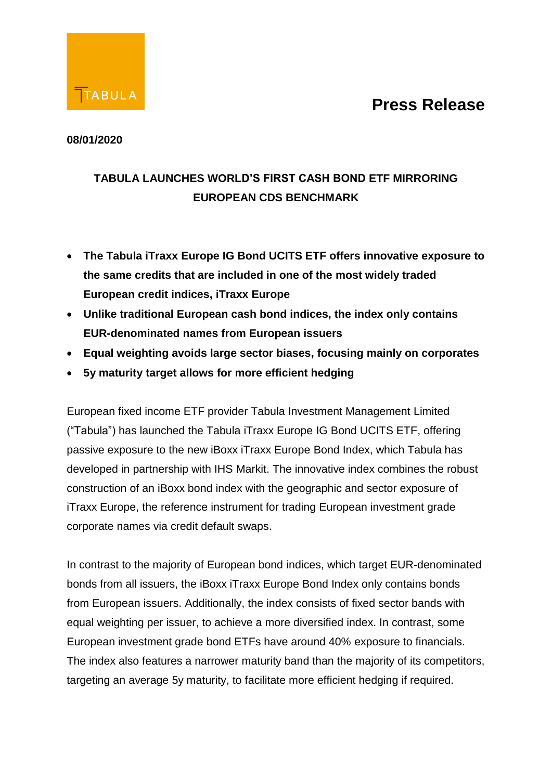

#### **08/01/2020**

### **TABULA LAUNCHES WORLD'S FIRST CASH BOND ETF MIRRORING EUROPEAN CDS BENCHMARK**

- **The Tabula iTraxx Europe IG Bond UCITS ETF offers innovative exposure to the same credits that are included in one of the most widely traded European credit indices, iTraxx Europe**
- **Unlike traditional European cash bond indices, the index only contains EUR-denominated names from European issuers**
- **Equal weighting avoids large sector biases, focusing mainly on corporates**
- **5y maturity target allows for more efficient hedging**

European fixed income ETF provider Tabula Investment Management Limited ("Tabula") has launched the Tabula iTraxx Europe IG Bond UCITS ETF, offering passive exposure to the new iBoxx iTraxx Europe Bond Index, which Tabula has developed in partnership with IHS Markit. The innovative index combines the robust construction of an iBoxx bond index with the geographic and sector exposure of iTraxx Europe, the reference instrument for trading European investment grade corporate names via credit default swaps.

In contrast to the majority of European bond indices, which target EUR-denominated bonds from all issuers, the iBoxx iTraxx Europe Bond Index only contains bonds from European issuers. Additionally, the index consists of fixed sector bands with equal weighting per issuer, to achieve a more diversified index. In contrast, some European investment grade bond ETFs have around 40% exposure to financials. The index also features a narrower maturity band than the majority of its competitors, targeting an average 5y maturity, to facilitate more efficient hedging if required.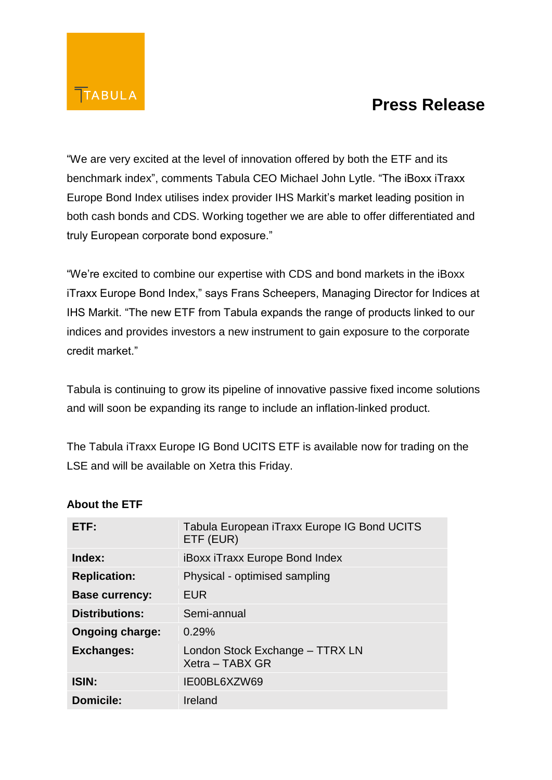

"We are very excited at the level of innovation offered by both the ETF and its benchmark index", comments Tabula CEO Michael John Lytle. "The iBoxx iTraxx Europe Bond Index utilises index provider IHS Markit's market leading position in both cash bonds and CDS. Working together we are able to offer differentiated and truly European corporate bond exposure."

"We're excited to combine our expertise with CDS and bond markets in the iBoxx iTraxx Europe Bond Index," says Frans Scheepers, Managing Director for Indices at IHS Markit. "The new ETF from Tabula expands the range of products linked to our indices and provides investors a new instrument to gain exposure to the corporate credit market."

Tabula is continuing to grow its pipeline of innovative passive fixed income solutions and will soon be expanding its range to include an inflation-linked product.

The Tabula iTraxx Europe IG Bond UCITS ETF is available now for trading on the LSE and will be available on Xetra this Friday.

| ETF:                   | Tabula European iTraxx Europe IG Bond UCITS<br>ETF (EUR) |
|------------------------|----------------------------------------------------------|
| Index:                 | <b>iBoxx iTraxx Europe Bond Index</b>                    |
| <b>Replication:</b>    | Physical - optimised sampling                            |
| <b>Base currency:</b>  | <b>EUR</b>                                               |
| <b>Distributions:</b>  | Semi-annual                                              |
| <b>Ongoing charge:</b> | 0.29%                                                    |
| Exchanges:             | London Stock Exchange - TTRX LN<br>Xetra - TABX GR       |
| <b>ISIN:</b>           | IE00BL6XZW69                                             |
| <b>Domicile:</b>       | Ireland                                                  |

#### **About the ETF**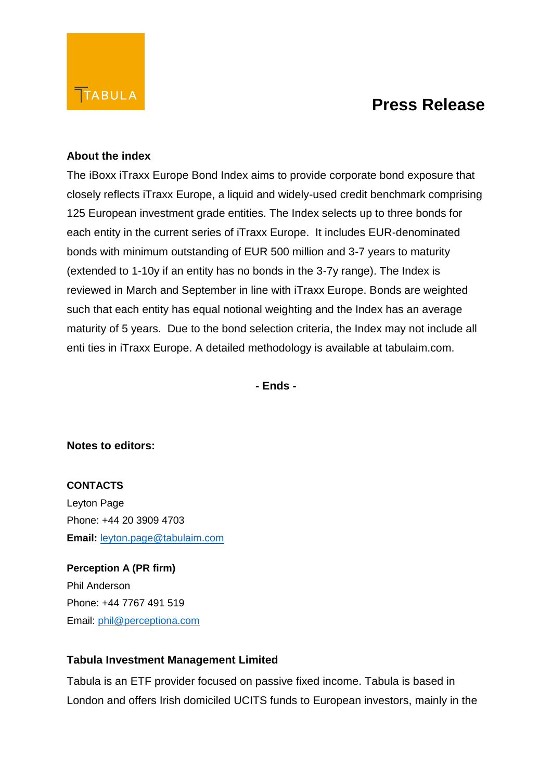#### **About the index**

The iBoxx iTraxx Europe Bond Index aims to provide corporate bond exposure that closely reflects iTraxx Europe, a liquid and widely-used credit benchmark comprising 125 European investment grade entities. The Index selects up to three bonds for each entity in the current series of iTraxx Europe. It includes EUR-denominated bonds with minimum outstanding of EUR 500 million and 3-7 years to maturity (extended to 1-10y if an entity has no bonds in the 3-7y range). The Index is reviewed in March and September in line with iTraxx Europe. Bonds are weighted such that each entity has equal notional weighting and the Index has an average maturity of 5 years. Due to the bond selection criteria, the Index may not include all enti ties in iTraxx Europe. A detailed methodology is available at tabulaim.com.

**- Ends -**

#### **Notes to editors:**

### **CONTACTS** Leyton Page Phone: +44 20 3909 4703 **Email:** [leyton.page@tabulaim.com](mailto:leyton.page@tabulaim.com)

**Perception A (PR firm)** Phil Anderson Phone: +44 7767 491 519 Email: [phil@perceptiona.com](mailto:phil@perceptiona.com)

#### **Tabula Investment Management Limited**

Tabula is an ETF provider focused on passive fixed income. Tabula is based in London and offers Irish domiciled UCITS funds to European investors, mainly in the